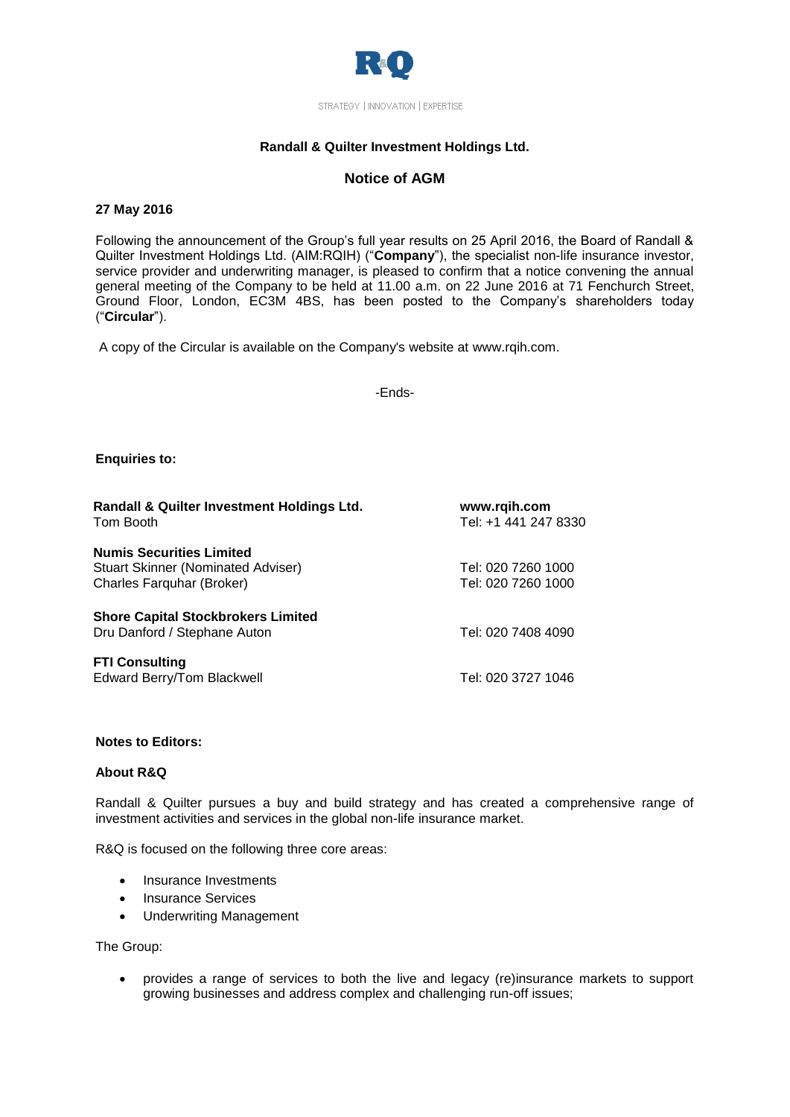

## **Randall & Quilter Investment Holdings Ltd.**

# **Notice of AGM**

## **27 May 2016**

Following the announcement of the Group's full year results on 25 April 2016, the Board of Randall & Quilter Investment Holdings Ltd. (AIM:RQIH) ("**Company**"), the specialist non-life insurance investor, service provider and underwriting manager, is pleased to confirm that a notice convening the annual general meeting of the Company to be held at 11.00 a.m. on 22 June 2016 at 71 Fenchurch Street, Ground Floor, London, EC3M 4BS, has been posted to the Company's shareholders today ("**Circular**").

A copy of the Circular is available on the Company's website at [www.rqih.com.](http://www.rqih.com/)

-Ends-

## **Enquiries to:**

| Randall & Quilter Investment Holdings Ltd.<br>Tom Booth                                                   | www.rqih.com<br>Tel: +1 441 247 8330     |
|-----------------------------------------------------------------------------------------------------------|------------------------------------------|
| <b>Numis Securities Limited</b><br><b>Stuart Skinner (Nominated Adviser)</b><br>Charles Farquhar (Broker) | Tel: 020 7260 1000<br>Tel: 020 7260 1000 |
| <b>Shore Capital Stockbrokers Limited</b><br>Dru Danford / Stephane Auton                                 | Tel: 020 7408 4090                       |
| <b>FTI Consulting</b><br>Edward Berry/Tom Blackwell                                                       | Tel: 020 3727 1046                       |

### **Notes to Editors:**

### **About R&Q**

Randall & Quilter pursues a buy and build strategy and has created a comprehensive range of investment activities and services in the global non-life insurance market.

R&Q is focused on the following three core areas:

- Insurance Investments
- Insurance Services
- Underwriting Management

The Group:

 provides a range of services to both the live and legacy (re)insurance markets to support growing businesses and address complex and challenging run-off issues;